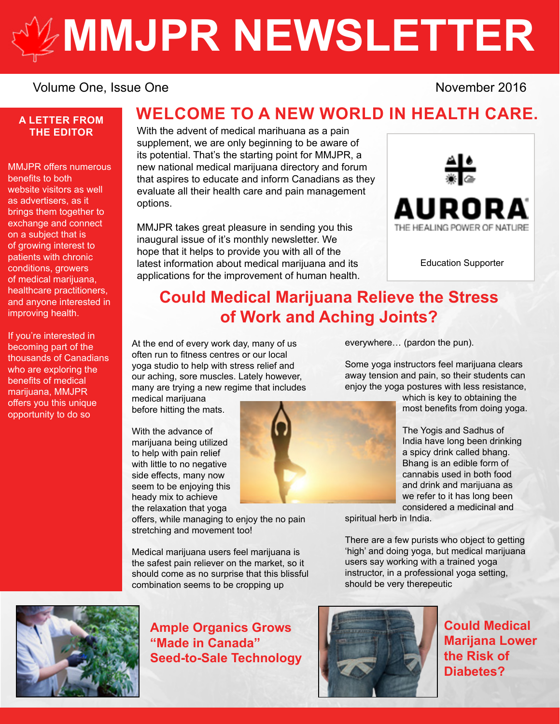# **[MMJPR NEWSLETTER](http://mmjpr.ca)**

#### Volume One, Issue One November 2016

#### **A LETTER FROM THE EDITOR**

MMJPR offers numerous benefits to both website visitors as well as advertisers, as it brings them together to exchange and connect on a subject that is of growing interest to patients with chronic conditions, growers of medical marijuana, healthcare practitioners, and anyone interested in improving health.

If you're interested in becoming part of the thousands of Canadians who are exploring the benefits of medical marijuana, MMJPR offers you this unique opportunity to do so

#### **WELCOME TO A NEW WORLD IN HEALTH CARE.**

With the advent of medical marihuana as a pain supplement, we are only beginning to be aware of its potential. That's the starting point for MMJPR, a new national medical marijuana directory and forum that aspires to educate and inform Canadians as they evaluate all their health care and pain management options.

MMJPR takes great pleasure in sending you this inaugural issue of it's monthly newsletter. We hope that it helps to provide you with all of the latest information about medical marijuana and its applications for the improvement of human health.



[Education Supporter](https://auroramj.com/)

### **Could Medical Marijuana Relieve the Stress of Work and Aching Joints?**

At the end of every work day, many of us often run to fitness centres or our local yoga studio to help with stress relief and our aching, sore muscles. Lately however, many are trying a new regime that includes

medical marijuana before hitting the mats.

With the advance of marijuana being utilized to help with pain relief with little to no negative side effects, many now seem to be enjoying this heady mix to achieve the relaxation that yoga

offers, while managing to enjoy the no pain stretching and movement too!

Medical marijuana users feel marijuana is the safest pain reliever on the market, so it should come as no surprise that this blissful combination seems to be cropping up

everywhere… (pardon the pun).

Some yoga instructors feel marijuana clears away tension and pain, so their students can enjoy the yoga postures with less resistance,

which is key to obtaining the most benefits from doing yoga.

The Yogis and Sadhus of India have long been drinking a spicy drink called bhang. Bhang is an edible form of cannabis used in both food and drink and marijuana as we refer to it has long been considered a medicinal and

spiritual herb in India.

There are a few purists who object to getting 'high' and doing yoga, but medical marijuana users say working with a trained yoga instructor, in a professional yoga setting, should be very therepeutic



**Ample Organics Grows "Made in Canada" Seed-to-Sale Technology**



**Could Medical Marijana Lower the Risk of Diabetes?**

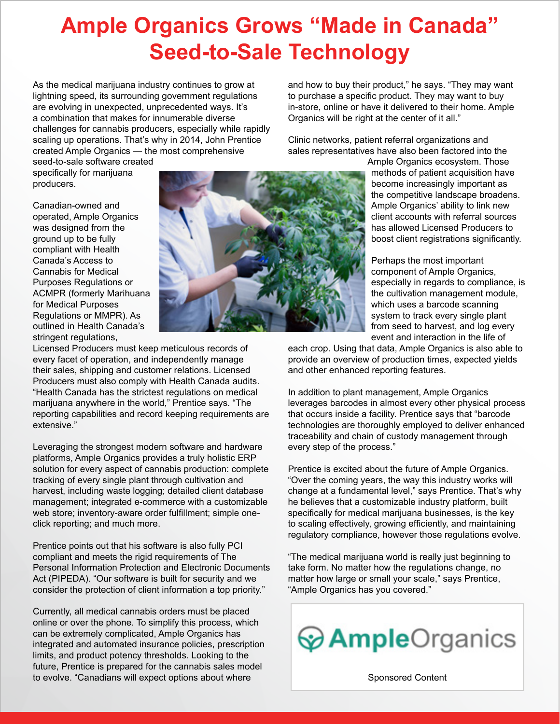# **Ample Organics Grows "Made in Canada" Seed-to-Sale Technology**

As the medical marijuana industry continues to grow at lightning speed, its surrounding government regulations are evolving in unexpected, unprecedented ways. It's a combination that makes for innumerable diverse challenges for cannabis producers, especially while rapidly scaling up operations. That's why in 2014, John Prentice created Ample Organics — the most comprehensive

seed-to-sale software created specifically for marijuana producers.

Canadian-owned and operated, Ample Organics was designed from the ground up to be fully compliant with Health Canada's Access to Cannabis for Medical Purposes Regulations or ACMPR (formerly Marihuana for Medical Purposes Regulations or MMPR). As outlined in Health Canada's stringent regulations,



and how to buy their product," he says. "They may want to purchase a specific product. They may want to buy in-store, online or have it delivered to their home. Ample Organics will be right at the center of it all."

Clinic networks, patient referral organizations and sales representatives have also been factored into the

> Ample Organics ecosystem. Those methods of patient acquisition have become increasingly important as the competitive landscape broadens. Ample Organics' ability to link new client accounts with referral sources has allowed Licensed Producers to boost client registrations significantly.

Perhaps the most important component of Ample Organics, especially in regards to compliance, is the cultivation management module, which uses a barcode scanning system to track every single plant from seed to harvest, and log every event and interaction in the life of

Licensed Producers must keep meticulous records of every facet of operation, and independently manage their sales, shipping and customer relations. Licensed Producers must also comply with Health Canada audits. "Health Canada has the strictest regulations on medical marijuana anywhere in the world," Prentice says. "The reporting capabilities and record keeping requirements are extensive."

Leveraging the strongest modern software and hardware platforms, Ample Organics provides a truly holistic ERP solution for every aspect of cannabis production: complete tracking of every single plant through cultivation and harvest, including waste logging; detailed client database management; integrated e-commerce with a customizable web store; inventory-aware order fulfillment; simple oneclick reporting; and much more.

Prentice points out that his software is also fully PCI compliant and meets the rigid requirements of The Personal Information Protection and Electronic Documents Act (PIPEDA). "Our software is built for security and we consider the protection of client information a top priority."

Currently, all medical cannabis orders must be placed online or over the phone. To simplify this process, which can be extremely complicated, Ample Organics has integrated and automated insurance policies, prescription limits, and product potency thresholds. Looking to the future, Prentice is prepared for the cannabis sales model to evolve. "Canadians will expect options about where

each crop. Using that data, Ample Organics is also able to provide an overview of production times, expected yields and other enhanced reporting features.

In addition to plant management, Ample Organics leverages barcodes in almost every other physical process that occurs inside a facility. Prentice says that "barcode technologies are thoroughly employed to deliver enhanced traceability and chain of custody management through every step of the process."

Prentice is excited about the future of Ample Organics. "Over the coming years, the way this industry works will change at a fundamental level," says Prentice. That's why he believes that a customizable industry platform, built specifically for medical marijuana businesses, is the key to scaling effectively, growing efficiently, and maintaining regulatory compliance, however those regulations evolve.

"The medical marijuana world is really just beginning to take form. No matter how the regulations change, no matter how large or small your scale," says Prentice, "Ample Organics has you covered."



[Sponsored Content](https://ampleorganics.com/)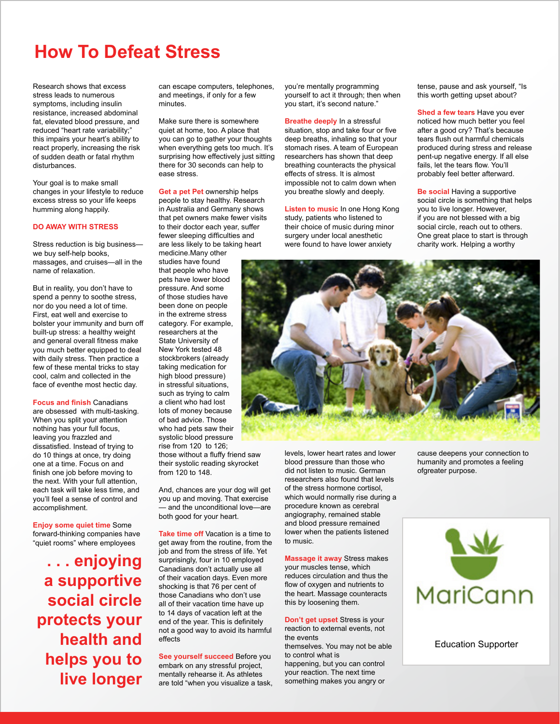# **How To Defeat Stress**

Research shows that excess stress leads to numerous symptoms, including insulin resistance, increased abdominal fat, elevated blood pressure, and reduced "heart rate variability;" this impairs your heart's ability to react properly, increasing the risk of sudden death or fatal rhythm disturbances.

Your goal is to make small changes in your lifestyle to reduce excess stress so your life keeps humming along happily.

#### **DO AWAY WITH STRESS**

Stress reduction is big business we buy self-help books, massages, and cruises—all in the name of relaxation.

But in reality, you don't have to spend a penny to soothe stress, nor do you need a lot of time. First, eat well and exercise to bolster your immunity and burn off built-up stress: a healthy weight and general overall fitness make you much better equipped to deal with daily stress. Then practice a few of these mental tricks to stay cool, calm and collected in the face of eventhe most hectic day.

**Focus and finish** Canadians are obsessed with multi-tasking. When you split your attention nothing has your full focus, leaving you frazzled and dissatisfied. Instead of trying to do 10 things at once, try doing one at a time. Focus on and finish one job before moving to the next. With your full attention, each task will take less time, and you'll feel a sense of control and accomplishment.

**Enjoy some quiet time** Some forward-thinking companies have "quiet rooms" where employees

**. . . enjoying a supportive social circle protects your health and helps you to live longer** can escape computers, telephones, and meetings, if only for a few minutes.

Make sure there is somewhere quiet at home, too. A place that you can go to gather your thoughts when everything gets too much. It's surprising how effectively just sitting there for 30 seconds can help to ease stress.

**Get a pet Pet** ownership helps people to stay healthy. Research in Australia and Germany shows that pet owners make fewer visits to their doctor each year, suffer fewer sleeping difficulties and are less likely to be taking heart medicine.Many other

studies have found that people who have pets have lower blood pressure. And some of those studies have been done on people in the extreme stress category. For example, researchers at the State University of New York tested 48 stockbrokers (already taking medication for high blood pressure) in stressful situations, such as trying to calm a client who had lost lots of money because of bad advice. Those who had pets saw their systolic blood pressure rise from 120 to 126; those without a fluffy friend saw

their systolic reading skyrocket from 120 to 148.

And, chances are your dog will get you up and moving. That exercise — and the unconditional love—are both good for your heart.

**Take time off** Vacation is a time to get away from the routine, from the job and from the stress of life. Yet surprisingly, four in 10 employed Canadians don't actually use all of their vacation days. Even more shocking is that 76 per cent of those Canadians who don't use all of their vacation time have up to 14 days of vacation left at the end of the year. This is definitely not a good way to avoid its harmful effects

**See yourself succeed** Before you embark on any stressful project, mentally rehearse it. As athletes are told "when you visualize a task, you're mentally programming yourself to act it through; then when you start, it's second nature."

**Breathe deeply** In a stressful situation, stop and take four or five deep breaths, inhaling so that your stomach rises. A team of European researchers has shown that deep breathing counteracts the physical effects of stress. It is almost impossible not to calm down when you breathe slowly and deeply.

**Listen to music** In one Hong Kong study, patients who listened to their choice of music during minor surgery under local anesthetic were found to have lower anxiety

tense, pause and ask yourself, "Is this worth getting upset about?

**Shed a few tears** Have you ever noticed how much better you feel after a good cry? That's because tears flush out harmful chemicals produced during stress and release pent-up negative energy. If all else fails, let the tears flow. You'll probably feel better afterward.

**Be social** Having a supportive social circle is something that helps you to live longer. However, if you are not blessed with a big social circle, reach out to others. One great place to start is through charity work. Helping a worthy



levels, lower heart rates and lower blood pressure than those who did not listen to music. German researchers also found that levels of the stress hormone cortisol, which would normally rise during a procedure known as cerebral angiography, remained stable and blood pressure remained lower when the patients listened to music.

**Massage it away** Stress makes your muscles tense, which reduces circulation and thus the flow of oxygen and nutrients to the heart. Massage counteracts this by loosening them.

**Don't get upset** Stress is your reaction to external events, not the events themselves. You may not be able to control what is happening, but you can control your reaction. The next time something makes you angry or

cause deepens your connection to humanity and promotes a feeling ofgreater purpose.



[Education Supporter](http://maricann.ca/)